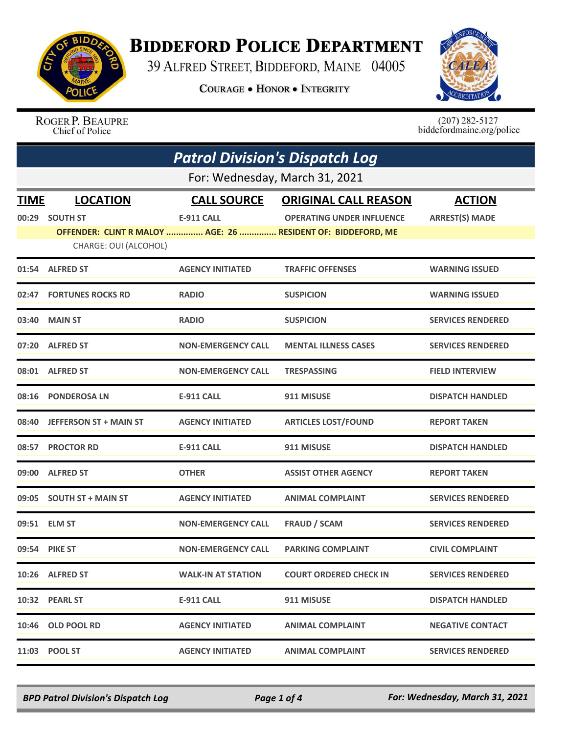

## **BIDDEFORD POLICE DEPARTMENT**

39 ALFRED STREET, BIDDEFORD, MAINE 04005

**COURAGE . HONOR . INTEGRITY** 



ROGER P. BEAUPRE Chief of Police

 $(207)$  282-5127<br>biddefordmaine.org/police

| <b>Patrol Division's Dispatch Log</b> |                                |                           |                                                              |                          |  |
|---------------------------------------|--------------------------------|---------------------------|--------------------------------------------------------------|--------------------------|--|
|                                       | For: Wednesday, March 31, 2021 |                           |                                                              |                          |  |
| <b>TIME</b>                           | <b>LOCATION</b>                | <b>CALL SOURCE</b>        | <b>ORIGINAL CALL REASON</b>                                  | <b>ACTION</b>            |  |
| 00:29                                 | <b>SOUTH ST</b>                | <b>E-911 CALL</b>         | <b>OPERATING UNDER INFLUENCE</b>                             | <b>ARREST(S) MADE</b>    |  |
|                                       |                                |                           | OFFENDER: CLINT R MALOY  AGE: 26  RESIDENT OF: BIDDEFORD, ME |                          |  |
|                                       | CHARGE: OUI (ALCOHOL)          |                           |                                                              |                          |  |
|                                       | 01:54 ALFRED ST                | <b>AGENCY INITIATED</b>   | <b>TRAFFIC OFFENSES</b>                                      | <b>WARNING ISSUED</b>    |  |
|                                       | 02:47 FORTUNES ROCKS RD        | <b>RADIO</b>              | <b>SUSPICION</b>                                             | <b>WARNING ISSUED</b>    |  |
|                                       | 03:40 MAIN ST                  | <b>RADIO</b>              | <b>SUSPICION</b>                                             | <b>SERVICES RENDERED</b> |  |
| 07:20                                 | <b>ALFRED ST</b>               | <b>NON-EMERGENCY CALL</b> | <b>MENTAL ILLNESS CASES</b>                                  | <b>SERVICES RENDERED</b> |  |
|                                       | 08:01 ALFRED ST                | <b>NON-EMERGENCY CALL</b> | <b>TRESPASSING</b>                                           | <b>FIELD INTERVIEW</b>   |  |
| 08:16                                 | <b>PONDEROSA LN</b>            | <b>E-911 CALL</b>         | 911 MISUSE                                                   | <b>DISPATCH HANDLED</b>  |  |
| 08:40                                 | <b>JEFFERSON ST + MAIN ST</b>  | <b>AGENCY INITIATED</b>   | <b>ARTICLES LOST/FOUND</b>                                   | <b>REPORT TAKEN</b>      |  |
|                                       | 08:57 PROCTOR RD               | <b>E-911 CALL</b>         | 911 MISUSE                                                   | <b>DISPATCH HANDLED</b>  |  |
|                                       | 09:00 ALFRED ST                | <b>OTHER</b>              | <b>ASSIST OTHER AGENCY</b>                                   | <b>REPORT TAKEN</b>      |  |
|                                       | 09:05 SOUTH ST + MAIN ST       | <b>AGENCY INITIATED</b>   | <b>ANIMAL COMPLAINT</b>                                      | <b>SERVICES RENDERED</b> |  |
| 09:51                                 | <b>ELM ST</b>                  | <b>NON-EMERGENCY CALL</b> | <b>FRAUD / SCAM</b>                                          | <b>SERVICES RENDERED</b> |  |
|                                       | 09:54 PIKE ST                  | <b>NON-EMERGENCY CALL</b> | <b>PARKING COMPLAINT</b>                                     | <b>CIVIL COMPLAINT</b>   |  |
|                                       | 10:26 ALFRED ST                | <b>WALK-IN AT STATION</b> | <b>COURT ORDERED CHECK IN</b>                                | <b>SERVICES RENDERED</b> |  |
|                                       | 10:32 PEARL ST                 | <b>E-911 CALL</b>         | 911 MISUSE                                                   | <b>DISPATCH HANDLED</b>  |  |
|                                       | 10:46 OLD POOL RD              | <b>AGENCY INITIATED</b>   | <b>ANIMAL COMPLAINT</b>                                      | <b>NEGATIVE CONTACT</b>  |  |
|                                       | 11:03 POOL ST                  | <b>AGENCY INITIATED</b>   | <b>ANIMAL COMPLAINT</b>                                      | <b>SERVICES RENDERED</b> |  |

*BPD Patrol Division's Dispatch Log Page 1 of 4 For: Wednesday, March 31, 2021*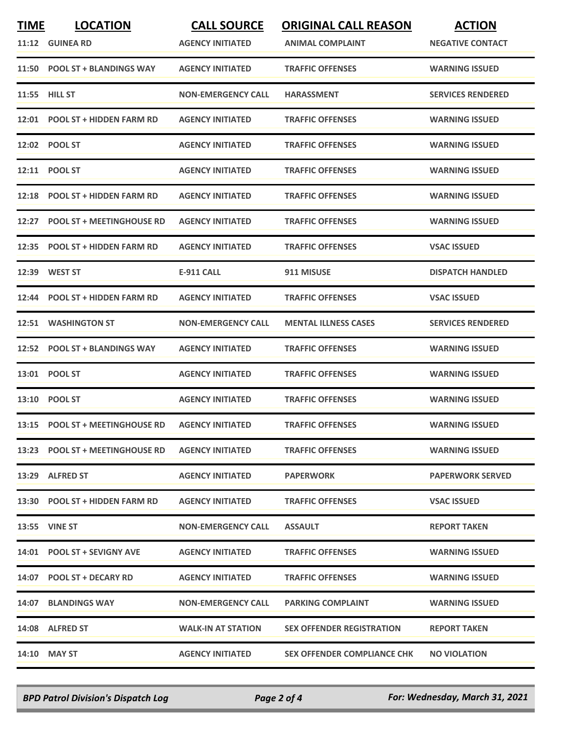| <b>TIME</b> | <b>LOCATION</b>                  | <b>CALL SOURCE</b>        | <b>ORIGINAL CALL REASON</b>        | <b>ACTION</b>            |
|-------------|----------------------------------|---------------------------|------------------------------------|--------------------------|
|             | 11:12 GUINEA RD                  | <b>AGENCY INITIATED</b>   | <b>ANIMAL COMPLAINT</b>            | <b>NEGATIVE CONTACT</b>  |
|             | 11:50 POOL ST + BLANDINGS WAY    | <b>AGENCY INITIATED</b>   | <b>TRAFFIC OFFENSES</b>            | <b>WARNING ISSUED</b>    |
|             | <b>11:55 HILL ST</b>             | <b>NON-EMERGENCY CALL</b> | <b>HARASSMENT</b>                  | <b>SERVICES RENDERED</b> |
|             | 12:01 POOL ST + HIDDEN FARM RD   | <b>AGENCY INITIATED</b>   | <b>TRAFFIC OFFENSES</b>            | <b>WARNING ISSUED</b>    |
|             | 12:02 POOL ST                    | <b>AGENCY INITIATED</b>   | <b>TRAFFIC OFFENSES</b>            | <b>WARNING ISSUED</b>    |
|             | 12:11 POOL ST                    | <b>AGENCY INITIATED</b>   | <b>TRAFFIC OFFENSES</b>            | <b>WARNING ISSUED</b>    |
| 12:18       | <b>POOL ST + HIDDEN FARM RD</b>  | <b>AGENCY INITIATED</b>   | <b>TRAFFIC OFFENSES</b>            | <b>WARNING ISSUED</b>    |
| 12:27       | <b>POOL ST + MEETINGHOUSE RD</b> | <b>AGENCY INITIATED</b>   | <b>TRAFFIC OFFENSES</b>            | <b>WARNING ISSUED</b>    |
| 12:35       | <b>POOL ST + HIDDEN FARM RD</b>  | <b>AGENCY INITIATED</b>   | <b>TRAFFIC OFFENSES</b>            | <b>VSAC ISSUED</b>       |
| 12:39       | <b>WEST ST</b>                   | <b>E-911 CALL</b>         | 911 MISUSE                         | <b>DISPATCH HANDLED</b>  |
|             | 12:44 POOL ST + HIDDEN FARM RD   | <b>AGENCY INITIATED</b>   | <b>TRAFFIC OFFENSES</b>            | <b>VSAC ISSUED</b>       |
| 12:51       | <b>WASHINGTON ST</b>             | <b>NON-EMERGENCY CALL</b> | <b>MENTAL ILLNESS CASES</b>        | <b>SERVICES RENDERED</b> |
|             | 12:52 POOL ST + BLANDINGS WAY    | <b>AGENCY INITIATED</b>   | <b>TRAFFIC OFFENSES</b>            | <b>WARNING ISSUED</b>    |
| 13:01       | <b>POOL ST</b>                   | <b>AGENCY INITIATED</b>   | <b>TRAFFIC OFFENSES</b>            | <b>WARNING ISSUED</b>    |
|             | 13:10 POOL ST                    | <b>AGENCY INITIATED</b>   | <b>TRAFFIC OFFENSES</b>            | <b>WARNING ISSUED</b>    |
|             | 13:15 POOL ST + MEETINGHOUSE RD  | <b>AGENCY INITIATED</b>   | <b>TRAFFIC OFFENSES</b>            | <b>WARNING ISSUED</b>    |
|             | 13:23 POOL ST + MEETINGHOUSE RD  | <b>AGENCY INITIATED</b>   | <b>TRAFFIC OFFENSES</b>            | <b>WARNING ISSUED</b>    |
|             | 13:29 ALFRED ST                  | <b>AGENCY INITIATED</b>   | <b>PAPERWORK</b>                   | <b>PAPERWORK SERVED</b>  |
|             | 13:30 POOL ST + HIDDEN FARM RD   | <b>AGENCY INITIATED</b>   | <b>TRAFFIC OFFENSES</b>            | <b>VSAC ISSUED</b>       |
|             | <b>13:55 VINE ST</b>             | <b>NON-EMERGENCY CALL</b> | <b>ASSAULT</b>                     | <b>REPORT TAKEN</b>      |
|             | 14:01 POOL ST + SEVIGNY AVE      | <b>AGENCY INITIATED</b>   | <b>TRAFFIC OFFENSES</b>            | <b>WARNING ISSUED</b>    |
|             | 14:07 POOL ST + DECARY RD        | <b>AGENCY INITIATED</b>   | <b>TRAFFIC OFFENSES</b>            | <b>WARNING ISSUED</b>    |
|             | 14:07 BLANDINGS WAY              | <b>NON-EMERGENCY CALL</b> | <b>PARKING COMPLAINT</b>           | <b>WARNING ISSUED</b>    |
|             | 14:08 ALFRED ST                  | <b>WALK-IN AT STATION</b> | <b>SEX OFFENDER REGISTRATION</b>   | <b>REPORT TAKEN</b>      |
|             | 14:10 MAY ST                     | <b>AGENCY INITIATED</b>   | <b>SEX OFFENDER COMPLIANCE CHK</b> | <b>NO VIOLATION</b>      |

*BPD Patrol Division's Dispatch Log Page 2 of 4 For: Wednesday, March 31, 2021*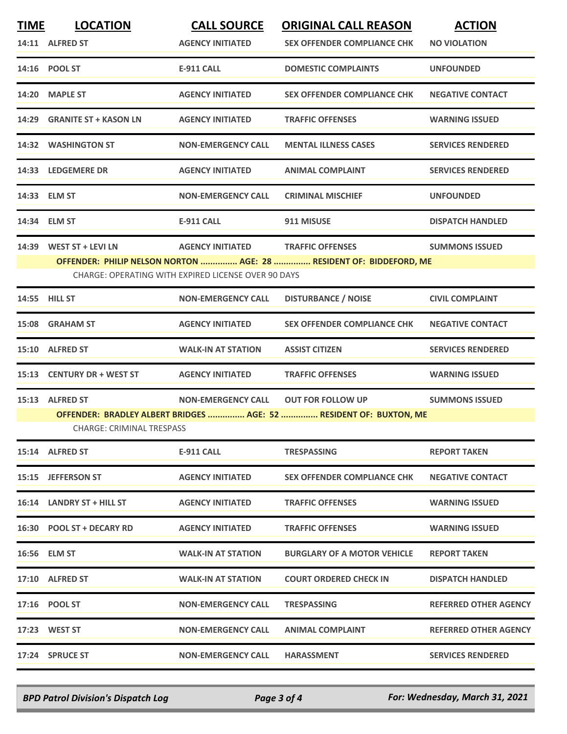| <b>TIME</b> | <b>LOCATION</b>                                                                                 | <b>CALL SOURCE</b>                | <b>ORIGINAL CALL REASON</b>        | <b>ACTION</b>                |  |  |
|-------------|-------------------------------------------------------------------------------------------------|-----------------------------------|------------------------------------|------------------------------|--|--|
|             | 14:11 ALFRED ST                                                                                 | <b>AGENCY INITIATED</b>           | <b>SEX OFFENDER COMPLIANCE CHK</b> | <b>NO VIOLATION</b>          |  |  |
|             | 14:16 POOL ST                                                                                   | <b>E-911 CALL</b>                 | <b>DOMESTIC COMPLAINTS</b>         | <b>UNFOUNDED</b>             |  |  |
|             | 14:20 MAPLE ST                                                                                  | <b>AGENCY INITIATED</b>           | <b>SEX OFFENDER COMPLIANCE CHK</b> | <b>NEGATIVE CONTACT</b>      |  |  |
|             | 14:29 GRANITE ST + KASON LN                                                                     | <b>AGENCY INITIATED</b>           | <b>TRAFFIC OFFENSES</b>            | <b>WARNING ISSUED</b>        |  |  |
|             | 14:32 WASHINGTON ST                                                                             | <b>NON-EMERGENCY CALL</b>         | <b>MENTAL ILLNESS CASES</b>        | <b>SERVICES RENDERED</b>     |  |  |
|             | 14:33 LEDGEMERE DR                                                                              | <b>AGENCY INITIATED</b>           | <b>ANIMAL COMPLAINT</b>            | <b>SERVICES RENDERED</b>     |  |  |
|             | 14:33 ELM ST                                                                                    | <b>NON-EMERGENCY CALL</b>         | <b>CRIMINAL MISCHIEF</b>           | <b>UNFOUNDED</b>             |  |  |
|             | 14:34 ELM ST                                                                                    | E-911 CALL                        | 911 MISUSE                         | <b>DISPATCH HANDLED</b>      |  |  |
|             | 14:39 WEST ST + LEVI LN                                                                         | AGENCY INITIATED TRAFFIC OFFENSES |                                    | <b>SUMMONS ISSUED</b>        |  |  |
|             | OFFENDER: PHILIP NELSON NORTON  AGE: 28  RESIDENT OF: BIDDEFORD, ME                             |                                   |                                    |                              |  |  |
|             | <b>CHARGE: OPERATING WITH EXPIRED LICENSE OVER 90 DAYS</b>                                      |                                   |                                    |                              |  |  |
|             | 14:55 HILL ST                                                                                   | <b>NON-EMERGENCY CALL</b>         | <b>DISTURBANCE / NOISE</b>         | <b>CIVIL COMPLAINT</b>       |  |  |
|             | 15:08 GRAHAM ST                                                                                 | <b>AGENCY INITIATED</b>           | <b>SEX OFFENDER COMPLIANCE CHK</b> | <b>NEGATIVE CONTACT</b>      |  |  |
|             | 15:10 ALFRED ST                                                                                 | <b>WALK-IN AT STATION</b>         | <b>ASSIST CITIZEN</b>              | <b>SERVICES RENDERED</b>     |  |  |
|             | 15:13 CENTURY DR + WEST ST                                                                      | <b>AGENCY INITIATED</b>           | <b>TRAFFIC OFFENSES</b>            | <b>WARNING ISSUED</b>        |  |  |
|             | 15:13 ALFRED ST                                                                                 | <b>NON-EMERGENCY CALL</b>         | <b>OUT FOR FOLLOW UP</b>           | <b>SUMMONS ISSUED</b>        |  |  |
|             | OFFENDER: BRADLEY ALBERT BRIDGES  AGE: 52  RESIDENT OF: BUXTON, ME<br>CHARGE: CRIMINAL TRESPASS |                                   |                                    |                              |  |  |
|             | 15:14 ALFRED ST                                                                                 | E-911 CALL                        | <b>TRESPASSING</b>                 | <b>REPORT TAKEN</b>          |  |  |
|             | 15:15 JEFFERSON ST                                                                              | <b>AGENCY INITIATED</b>           | <b>SEX OFFENDER COMPLIANCE CHK</b> | <b>NEGATIVE CONTACT</b>      |  |  |
|             | 16:14 LANDRY ST + HILL ST                                                                       | <b>AGENCY INITIATED</b>           | <b>TRAFFIC OFFENSES</b>            | <b>WARNING ISSUED</b>        |  |  |
|             | 16:30 POOL ST + DECARY RD                                                                       | <b>AGENCY INITIATED</b>           | <b>TRAFFIC OFFENSES</b>            | <b>WARNING ISSUED</b>        |  |  |
|             | 16:56 ELM ST                                                                                    | <b>WALK-IN AT STATION</b>         | <b>BURGLARY OF A MOTOR VEHICLE</b> | <b>REPORT TAKEN</b>          |  |  |
|             | 17:10 ALFRED ST                                                                                 | <b>WALK-IN AT STATION</b>         | <b>COURT ORDERED CHECK IN</b>      | <b>DISPATCH HANDLED</b>      |  |  |
|             | 17:16 POOL ST                                                                                   | <b>NON-EMERGENCY CALL</b>         | <b>TRESPASSING</b>                 | <b>REFERRED OTHER AGENCY</b> |  |  |
|             | 17:23 WEST ST                                                                                   | <b>NON-EMERGENCY CALL</b>         | <b>ANIMAL COMPLAINT</b>            | <b>REFERRED OTHER AGENCY</b> |  |  |
|             | 17:24 SPRUCE ST                                                                                 | <b>NON-EMERGENCY CALL</b>         | <b>HARASSMENT</b>                  | <b>SERVICES RENDERED</b>     |  |  |
|             |                                                                                                 |                                   |                                    |                              |  |  |

*BPD Patrol Division's Dispatch Log Page 3 of 4 For: Wednesday, March 31, 2021*